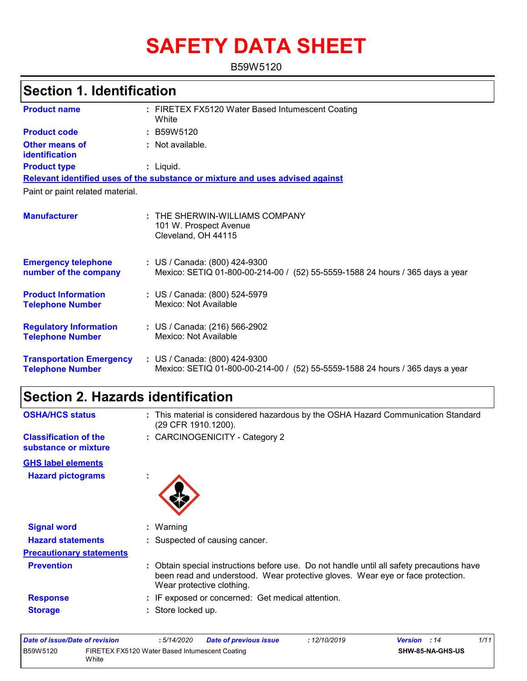# **SAFETY DATA SHEET**

B59W5120

# **Section 1. Identification**

| <b>Product name</b>                                        | : FIRETEX FX5120 Water Based Intumescent Coating<br>White                                                         |
|------------------------------------------------------------|-------------------------------------------------------------------------------------------------------------------|
| <b>Product code</b>                                        | : B59W5120                                                                                                        |
| <b>Other means of</b><br>identification                    | : Not available.                                                                                                  |
| <b>Product type</b>                                        | $:$ Liquid.                                                                                                       |
|                                                            | Relevant identified uses of the substance or mixture and uses advised against                                     |
| Paint or paint related material.                           |                                                                                                                   |
| <b>Manufacturer</b>                                        | : THE SHERWIN-WILLIAMS COMPANY<br>101 W. Prospect Avenue<br>Cleveland, OH 44115                                   |
| <b>Emergency telephone</b><br>number of the company        | : US / Canada: (800) 424-9300<br>Mexico: SETIQ 01-800-00-214-00 / (52) 55-5559-1588 24 hours / 365 days a year    |
| <b>Product Information</b><br><b>Telephone Number</b>      | : US / Canada: (800) 524-5979<br>Mexico: Not Available                                                            |
| <b>Regulatory Information</b><br><b>Telephone Number</b>   | : US / Canada: (216) 566-2902<br>Mexico: Not Available                                                            |
| <b>Transportation Emergency</b><br><b>Telephone Number</b> | : US / Canada: (800) 424-9300<br>Mexico: SETIQ 01-800-00-214-00 /<br>(52) 55-5559-1588 24 hours / 365 days a year |

# **Section 2. Hazards identification**

| <b>OSHA/HCS status</b>                               | : This material is considered hazardous by the OSHA Hazard Communication Standard<br>(29 CFR 1910.1200).                                                                                                 |
|------------------------------------------------------|----------------------------------------------------------------------------------------------------------------------------------------------------------------------------------------------------------|
| <b>Classification of the</b><br>substance or mixture | : CARCINOGENICITY - Category 2                                                                                                                                                                           |
| <b>GHS label elements</b>                            |                                                                                                                                                                                                          |
| <b>Hazard pictograms</b>                             | ×                                                                                                                                                                                                        |
| <b>Signal word</b>                                   | $:$ Warning                                                                                                                                                                                              |
| <b>Hazard statements</b>                             | : Suspected of causing cancer.                                                                                                                                                                           |
| <b>Precautionary statements</b>                      |                                                                                                                                                                                                          |
| <b>Prevention</b>                                    | : Obtain special instructions before use. Do not handle until all safety precautions have<br>been read and understood. Wear protective gloves. Wear eye or face protection.<br>Wear protective clothing. |
| <b>Response</b>                                      | : IF exposed or concerned: Get medical attention.                                                                                                                                                        |
| <b>Storage</b>                                       | : Store locked up.                                                                                                                                                                                       |

| Date of issue/Date of revision |                                                         | : 5/14/2020 | <b>Date of previous issue</b> | : 12/10/2019 | <b>Version</b> : 14 | 1/11 |
|--------------------------------|---------------------------------------------------------|-------------|-------------------------------|--------------|---------------------|------|
| B59W5120                       | FIRETEX FX5120 Water Based Intumescent Coating<br>White |             |                               |              | SHW-85-NA-GHS-US    |      |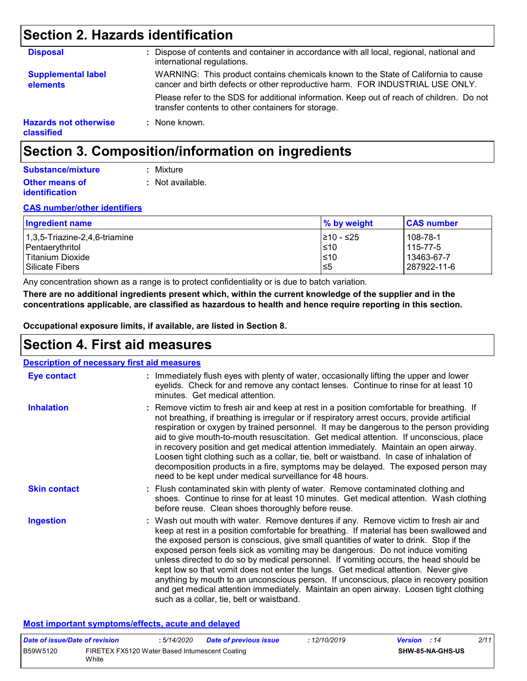# **Section 2. Hazards identification**

| <b>Disposal</b>                            | : Dispose of contents and container in accordance with all local, regional, national and<br>international regulations.                                              |
|--------------------------------------------|---------------------------------------------------------------------------------------------------------------------------------------------------------------------|
| <b>Supplemental label</b><br>elements      | WARNING: This product contains chemicals known to the State of California to cause<br>cancer and birth defects or other reproductive harm. FOR INDUSTRIAL USE ONLY. |
|                                            | Please refer to the SDS for additional information. Keep out of reach of children. Do not<br>transfer contents to other containers for storage.                     |
| <b>Hazards not otherwise</b><br>classified | : None known.                                                                                                                                                       |

# **Section 3. Composition/information on ingredients**

### **Substance/mixture**

**:** Not available. **:** Mixture

#### **Other means of identification**

### **CAS number/other identifiers**

| <b>Ingredient name</b>        | % by weight | <b>CAS number</b> |
|-------------------------------|-------------|-------------------|
| 1,3,5-Triazine-2,4,6-triamine | I≥10 - ≤25  | 108-78-1          |
| Pentaerythritol               | l≤10        | 115-77-5          |
| Titanium Dioxide              | $≤10$       | 13463-67-7        |
| Silicate Fibers               | 5≥ا         | 287922-11-6       |

Any concentration shown as a range is to protect confidentiality or is due to batch variation.

**There are no additional ingredients present which, within the current knowledge of the supplier and in the concentrations applicable, are classified as hazardous to health and hence require reporting in this section.**

**Occupational exposure limits, if available, are listed in Section 8.**

# **Section 4. First aid measures**

| <b>Description of necessary first aid measures</b> |                                                                                                                                                                                                                                                                                                                                                                                                                                                                                                                                                                                                                                                                                                                                                                           |
|----------------------------------------------------|---------------------------------------------------------------------------------------------------------------------------------------------------------------------------------------------------------------------------------------------------------------------------------------------------------------------------------------------------------------------------------------------------------------------------------------------------------------------------------------------------------------------------------------------------------------------------------------------------------------------------------------------------------------------------------------------------------------------------------------------------------------------------|
| <b>Eye contact</b>                                 | : Immediately flush eyes with plenty of water, occasionally lifting the upper and lower<br>eyelids. Check for and remove any contact lenses. Continue to rinse for at least 10<br>minutes. Get medical attention.                                                                                                                                                                                                                                                                                                                                                                                                                                                                                                                                                         |
| <b>Inhalation</b>                                  | : Remove victim to fresh air and keep at rest in a position comfortable for breathing. If<br>not breathing, if breathing is irregular or if respiratory arrest occurs, provide artificial<br>respiration or oxygen by trained personnel. It may be dangerous to the person providing<br>aid to give mouth-to-mouth resuscitation. Get medical attention. If unconscious, place<br>in recovery position and get medical attention immediately. Maintain an open airway.<br>Loosen tight clothing such as a collar, tie, belt or waistband. In case of inhalation of<br>decomposition products in a fire, symptoms may be delayed. The exposed person may<br>need to be kept under medical surveillance for 48 hours.                                                       |
| <b>Skin contact</b>                                | : Flush contaminated skin with plenty of water. Remove contaminated clothing and<br>shoes. Continue to rinse for at least 10 minutes. Get medical attention. Wash clothing<br>before reuse. Clean shoes thoroughly before reuse.                                                                                                                                                                                                                                                                                                                                                                                                                                                                                                                                          |
| <b>Ingestion</b>                                   | : Wash out mouth with water. Remove dentures if any. Remove victim to fresh air and<br>keep at rest in a position comfortable for breathing. If material has been swallowed and<br>the exposed person is conscious, give small quantities of water to drink. Stop if the<br>exposed person feels sick as vomiting may be dangerous. Do not induce vomiting<br>unless directed to do so by medical personnel. If vomiting occurs, the head should be<br>kept low so that vomit does not enter the lungs. Get medical attention. Never give<br>anything by mouth to an unconscious person. If unconscious, place in recovery position<br>and get medical attention immediately. Maintain an open airway. Loosen tight clothing<br>such as a collar, tie, belt or waistband. |

#### **Most important symptoms/effects, acute and delayed**

| Date of issue/Date of revision |                                                         | : 5/14/2020 | <b>Date of previous issue</b> | : 12/10/2019 | <b>Version</b> : 14 |                         | 2/11 |
|--------------------------------|---------------------------------------------------------|-------------|-------------------------------|--------------|---------------------|-------------------------|------|
| B59W5120                       | FIRETEX FX5120 Water Based Intumescent Coating<br>White |             |                               |              |                     | <b>SHW-85-NA-GHS-US</b> |      |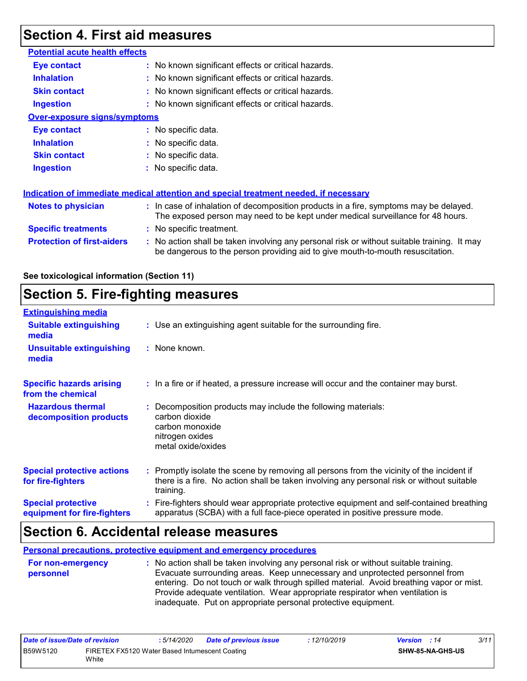# **Section 4. First aid measures**

| <b>Potential acute health effects</b> |                                                                                                                                                                               |  |
|---------------------------------------|-------------------------------------------------------------------------------------------------------------------------------------------------------------------------------|--|
| Eye contact                           | : No known significant effects or critical hazards.                                                                                                                           |  |
| <b>Inhalation</b>                     | : No known significant effects or critical hazards.                                                                                                                           |  |
| <b>Skin contact</b>                   | : No known significant effects or critical hazards.                                                                                                                           |  |
| <b>Ingestion</b>                      | : No known significant effects or critical hazards.                                                                                                                           |  |
| <b>Over-exposure signs/symptoms</b>   |                                                                                                                                                                               |  |
| <b>Eye contact</b>                    | : No specific data.                                                                                                                                                           |  |
| <b>Inhalation</b>                     | : No specific data.                                                                                                                                                           |  |
| <b>Skin contact</b>                   | : No specific data.                                                                                                                                                           |  |
| <b>Ingestion</b>                      | : No specific data.                                                                                                                                                           |  |
|                                       | Indication of immediate medical attention and special treatment needed, if necessary                                                                                          |  |
| <b>Notes to physician</b>             | : In case of inhalation of decomposition products in a fire, symptoms may be delayed.<br>The exposed person may need to be kept under medical surveillance for 48 hours.      |  |
| <b>Specific treatments</b>            | : No specific treatment.                                                                                                                                                      |  |
| <b>Protection of first-aiders</b>     | : No action shall be taken involving any personal risk or without suitable training. It may<br>be dangerous to the person providing aid to give mouth-to-mouth resuscitation. |  |

### **See toxicological information (Section 11)**

# **Section 5. Fire-fighting measures**

| <b>Extinguishing media</b>                               |                                                                                                                                                                                                     |
|----------------------------------------------------------|-----------------------------------------------------------------------------------------------------------------------------------------------------------------------------------------------------|
| <b>Suitable extinguishing</b><br>media                   | : Use an extinguishing agent suitable for the surrounding fire.                                                                                                                                     |
| <b>Unsuitable extinguishing</b><br>media                 | : None known.                                                                                                                                                                                       |
| <b>Specific hazards arising</b><br>from the chemical     | : In a fire or if heated, a pressure increase will occur and the container may burst.                                                                                                               |
| <b>Hazardous thermal</b><br>decomposition products       | Decomposition products may include the following materials:<br>carbon dioxide<br>carbon monoxide<br>nitrogen oxides<br>metal oxide/oxides                                                           |
| <b>Special protective actions</b><br>for fire-fighters   | : Promptly isolate the scene by removing all persons from the vicinity of the incident if<br>there is a fire. No action shall be taken involving any personal risk or without suitable<br>training. |
| <b>Special protective</b><br>equipment for fire-fighters | Fire-fighters should wear appropriate protective equipment and self-contained breathing<br>apparatus (SCBA) with a full face-piece operated in positive pressure mode.                              |

### **Section 6. Accidental release measures**

**Personal precautions, protective equipment and emergency procedures**

| No action shall be taken involving any personal risk or without suitable training.      |
|-----------------------------------------------------------------------------------------|
| Evacuate surrounding areas. Keep unnecessary and unprotected personnel from             |
| entering. Do not touch or walk through spilled material. Avoid breathing vapor or mist. |
| Provide adequate ventilation. Wear appropriate respirator when ventilation is           |
| inadequate. Put on appropriate personal protective equipment.                           |
|                                                                                         |

| Date of issue/Date of revision |                                                         | : 5/14/2020 | <b>Date of previous issue</b> | : 12/10/2019 | <b>Version</b> : 14     | 3/11 |
|--------------------------------|---------------------------------------------------------|-------------|-------------------------------|--------------|-------------------------|------|
| B59W5120                       | FIRETEX FX5120 Water Based Intumescent Coating<br>White |             |                               |              | <b>SHW-85-NA-GHS-US</b> |      |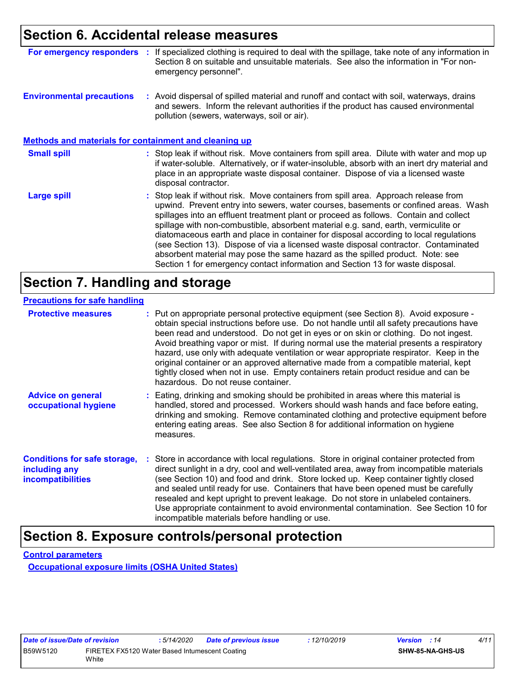### **Section 6. Accidental release measures**

| For emergency responders                                     | If specialized clothing is required to deal with the spillage, take note of any information in<br>Section 8 on suitable and unsuitable materials. See also the information in "For non-<br>emergency personnel".                                                                                                                                                                                                                                                                                                                                                                                                                                                                                             |
|--------------------------------------------------------------|--------------------------------------------------------------------------------------------------------------------------------------------------------------------------------------------------------------------------------------------------------------------------------------------------------------------------------------------------------------------------------------------------------------------------------------------------------------------------------------------------------------------------------------------------------------------------------------------------------------------------------------------------------------------------------------------------------------|
| <b>Environmental precautions</b>                             | : Avoid dispersal of spilled material and runoff and contact with soil, waterways, drains<br>and sewers. Inform the relevant authorities if the product has caused environmental<br>pollution (sewers, waterways, soil or air).                                                                                                                                                                                                                                                                                                                                                                                                                                                                              |
| <b>Methods and materials for containment and cleaning up</b> |                                                                                                                                                                                                                                                                                                                                                                                                                                                                                                                                                                                                                                                                                                              |
| <b>Small spill</b>                                           | : Stop leak if without risk. Move containers from spill area. Dilute with water and mop up<br>if water-soluble. Alternatively, or if water-insoluble, absorb with an inert dry material and<br>place in an appropriate waste disposal container. Dispose of via a licensed waste<br>disposal contractor.                                                                                                                                                                                                                                                                                                                                                                                                     |
| Large spill                                                  | : Stop leak if without risk. Move containers from spill area. Approach release from<br>upwind. Prevent entry into sewers, water courses, basements or confined areas. Wash<br>spillages into an effluent treatment plant or proceed as follows. Contain and collect<br>spillage with non-combustible, absorbent material e.g. sand, earth, vermiculite or<br>diatomaceous earth and place in container for disposal according to local regulations<br>(see Section 13). Dispose of via a licensed waste disposal contractor. Contaminated<br>absorbent material may pose the same hazard as the spilled product. Note: see<br>Section 1 for emergency contact information and Section 13 for waste disposal. |

# **Section 7. Handling and storage**

#### **Precautions for safe handling**

| <b>Protective measures</b>                                                       | : Put on appropriate personal protective equipment (see Section 8). Avoid exposure -<br>obtain special instructions before use. Do not handle until all safety precautions have<br>been read and understood. Do not get in eyes or on skin or clothing. Do not ingest.<br>Avoid breathing vapor or mist. If during normal use the material presents a respiratory<br>hazard, use only with adequate ventilation or wear appropriate respirator. Keep in the<br>original container or an approved alternative made from a compatible material, kept<br>tightly closed when not in use. Empty containers retain product residue and can be<br>hazardous. Do not reuse container. |
|----------------------------------------------------------------------------------|--------------------------------------------------------------------------------------------------------------------------------------------------------------------------------------------------------------------------------------------------------------------------------------------------------------------------------------------------------------------------------------------------------------------------------------------------------------------------------------------------------------------------------------------------------------------------------------------------------------------------------------------------------------------------------|
| <b>Advice on general</b><br>occupational hygiene                                 | : Eating, drinking and smoking should be prohibited in areas where this material is<br>handled, stored and processed. Workers should wash hands and face before eating,<br>drinking and smoking. Remove contaminated clothing and protective equipment before<br>entering eating areas. See also Section 8 for additional information on hygiene<br>measures.                                                                                                                                                                                                                                                                                                                  |
| <b>Conditions for safe storage,</b><br>including any<br><b>incompatibilities</b> | Store in accordance with local regulations. Store in original container protected from<br>direct sunlight in a dry, cool and well-ventilated area, away from incompatible materials<br>(see Section 10) and food and drink. Store locked up. Keep container tightly closed<br>and sealed until ready for use. Containers that have been opened must be carefully<br>resealed and kept upright to prevent leakage. Do not store in unlabeled containers.<br>Use appropriate containment to avoid environmental contamination. See Section 10 for<br>incompatible materials before handling or use.                                                                              |

# **Section 8. Exposure controls/personal protection**

**Control parameters**

**Occupational exposure limits (OSHA United States)**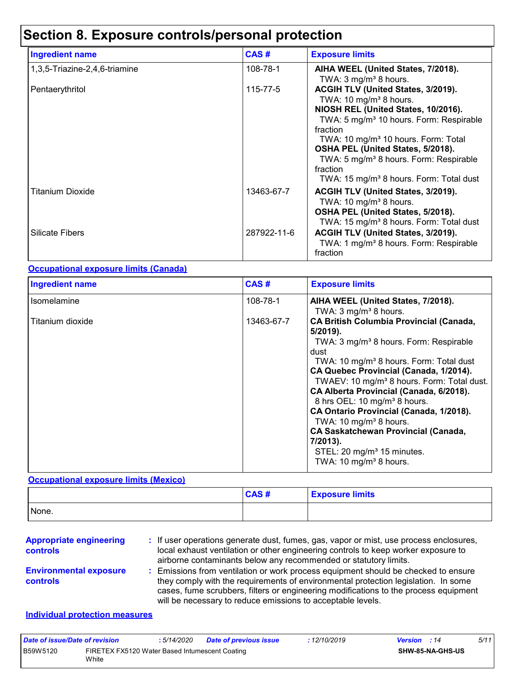# **Section 8. Exposure controls/personal protection**

| <b>Ingredient name</b>        | CAS#        | <b>Exposure limits</b>                                                                                                                                                                                                                                                                                                                                                                    |
|-------------------------------|-------------|-------------------------------------------------------------------------------------------------------------------------------------------------------------------------------------------------------------------------------------------------------------------------------------------------------------------------------------------------------------------------------------------|
| 1,3,5-Triazine-2,4,6-triamine | 108-78-1    | AIHA WEEL (United States, 7/2018).<br>TWA: $3 \text{ mg/m}^3$ 8 hours.                                                                                                                                                                                                                                                                                                                    |
| Pentaerythritol               | 115-77-5    | ACGIH TLV (United States, 3/2019).<br>TWA: 10 $mg/m3$ 8 hours.<br>NIOSH REL (United States, 10/2016).<br>TWA: 5 mg/m <sup>3</sup> 10 hours. Form: Respirable<br>fraction<br>TWA: 10 mg/m <sup>3</sup> 10 hours. Form: Total<br>OSHA PEL (United States, 5/2018).<br>TWA: 5 mg/m <sup>3</sup> 8 hours. Form: Respirable<br>fraction<br>TWA: 15 mg/m <sup>3</sup> 8 hours. Form: Total dust |
| Titanium Dioxide              | 13463-67-7  | <b>ACGIH TLV (United States, 3/2019).</b><br>TWA: 10 mg/m <sup>3</sup> 8 hours.<br>OSHA PEL (United States, 5/2018).<br>TWA: 15 mg/m <sup>3</sup> 8 hours. Form: Total dust                                                                                                                                                                                                               |
| Silicate Fibers               | 287922-11-6 | ACGIH TLV (United States, 3/2019).<br>TWA: 1 mg/m <sup>3</sup> 8 hours. Form: Respirable<br>fraction                                                                                                                                                                                                                                                                                      |

#### **Occupational exposure limits (Canada)**

| <b>Ingredient name</b> | CAS#       | <b>Exposure limits</b>                                                                                                                                                                                                                                                                                                                                                                                                                                                                                                                                                                                |
|------------------------|------------|-------------------------------------------------------------------------------------------------------------------------------------------------------------------------------------------------------------------------------------------------------------------------------------------------------------------------------------------------------------------------------------------------------------------------------------------------------------------------------------------------------------------------------------------------------------------------------------------------------|
| Isomelamine            | 108-78-1   | AIHA WEEL (United States, 7/2018).<br>TWA: $3 \text{ mg/m}^3$ 8 hours.                                                                                                                                                                                                                                                                                                                                                                                                                                                                                                                                |
| Titanium dioxide       | 13463-67-7 | <b>CA British Columbia Provincial (Canada,</b><br>5/2019).<br>TWA: 3 mg/m <sup>3</sup> 8 hours. Form: Respirable<br>dust<br>TWA: 10 mg/m <sup>3</sup> 8 hours. Form: Total dust<br>CA Quebec Provincial (Canada, 1/2014).<br>TWAEV: 10 mg/m <sup>3</sup> 8 hours. Form: Total dust.<br>CA Alberta Provincial (Canada, 6/2018).<br>8 hrs OEL: 10 mg/m <sup>3</sup> 8 hours.<br>CA Ontario Provincial (Canada, 1/2018).<br>TWA: 10 mg/m <sup>3</sup> 8 hours.<br><b>CA Saskatchewan Provincial (Canada,</b><br>7/2013).<br>STEL: 20 mg/m <sup>3</sup> 15 minutes.<br>TWA: 10 mg/m <sup>3</sup> 8 hours. |

#### **Occupational exposure limits (Mexico)**

|       | CAS# | <b>Exposure limits</b> |
|-------|------|------------------------|
| None. |      |                        |

#### **Appropriate engineering controls**

**:** If user operations generate dust, fumes, gas, vapor or mist, use process enclosures, local exhaust ventilation or other engineering controls to keep worker exposure to airborne contaminants below any recommended or statutory limits.

#### **Environmental exposure controls**

Emissions from ventilation or work process equipment should be checked to ensure **:** they comply with the requirements of environmental protection legislation. In some cases, fume scrubbers, filters or engineering modifications to the process equipment will be necessary to reduce emissions to acceptable levels.

#### **Individual protection measures**

| Date of issue/Date of revision |                                                         | : 5/14/2020 | <b>Date of previous issue</b> | : 12/10/2019 | <b>Version</b> : 14 |                         | 5/11 |
|--------------------------------|---------------------------------------------------------|-------------|-------------------------------|--------------|---------------------|-------------------------|------|
| B59W5120                       | FIRETEX FX5120 Water Based Intumescent Coating<br>White |             |                               |              |                     | <b>SHW-85-NA-GHS-US</b> |      |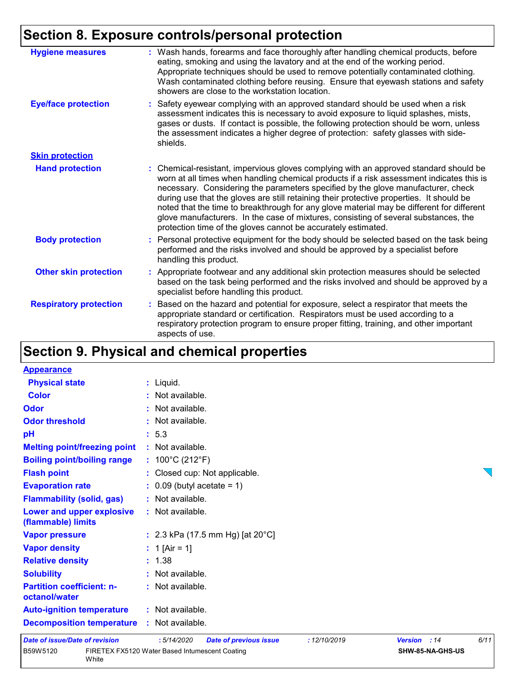# **Section 8. Exposure controls/personal protection**

| <b>Hygiene measures</b>       | : Wash hands, forearms and face thoroughly after handling chemical products, before<br>eating, smoking and using the lavatory and at the end of the working period.<br>Appropriate techniques should be used to remove potentially contaminated clothing.<br>Wash contaminated clothing before reusing. Ensure that eyewash stations and safety<br>showers are close to the workstation location.                                                                                                                                                                                                                      |
|-------------------------------|------------------------------------------------------------------------------------------------------------------------------------------------------------------------------------------------------------------------------------------------------------------------------------------------------------------------------------------------------------------------------------------------------------------------------------------------------------------------------------------------------------------------------------------------------------------------------------------------------------------------|
| <b>Eye/face protection</b>    | : Safety eyewear complying with an approved standard should be used when a risk<br>assessment indicates this is necessary to avoid exposure to liquid splashes, mists,<br>gases or dusts. If contact is possible, the following protection should be worn, unless<br>the assessment indicates a higher degree of protection: safety glasses with side-<br>shields.                                                                                                                                                                                                                                                     |
| <b>Skin protection</b>        |                                                                                                                                                                                                                                                                                                                                                                                                                                                                                                                                                                                                                        |
| <b>Hand protection</b>        | : Chemical-resistant, impervious gloves complying with an approved standard should be<br>worn at all times when handling chemical products if a risk assessment indicates this is<br>necessary. Considering the parameters specified by the glove manufacturer, check<br>during use that the gloves are still retaining their protective properties. It should be<br>noted that the time to breakthrough for any glove material may be different for different<br>glove manufacturers. In the case of mixtures, consisting of several substances, the<br>protection time of the gloves cannot be accurately estimated. |
| <b>Body protection</b>        | : Personal protective equipment for the body should be selected based on the task being<br>performed and the risks involved and should be approved by a specialist before<br>handling this product.                                                                                                                                                                                                                                                                                                                                                                                                                    |
| <b>Other skin protection</b>  | : Appropriate footwear and any additional skin protection measures should be selected<br>based on the task being performed and the risks involved and should be approved by a<br>specialist before handling this product.                                                                                                                                                                                                                                                                                                                                                                                              |
| <b>Respiratory protection</b> | : Based on the hazard and potential for exposure, select a respirator that meets the<br>appropriate standard or certification. Respirators must be used according to a<br>respiratory protection program to ensure proper fitting, training, and other important<br>aspects of use.                                                                                                                                                                                                                                                                                                                                    |

# **Section 9. Physical and chemical properties**

| <b>Appearance</b>                                 |                                                                                       |      |
|---------------------------------------------------|---------------------------------------------------------------------------------------|------|
| <b>Physical state</b>                             | : Liquid.                                                                             |      |
| <b>Color</b>                                      | : Not available.                                                                      |      |
| Odor                                              | : Not available.                                                                      |      |
| <b>Odor threshold</b>                             | : Not available.                                                                      |      |
| pH                                                | : 5.3                                                                                 |      |
| <b>Melting point/freezing point</b>               | : Not available.                                                                      |      |
| <b>Boiling point/boiling range</b>                | : $100^{\circ}$ C (212 $^{\circ}$ F)                                                  |      |
| <b>Flash point</b>                                | : Closed cup: Not applicable.                                                         |      |
| <b>Evaporation rate</b>                           | $\therefore$ 0.09 (butyl acetate = 1)                                                 |      |
| <b>Flammability (solid, gas)</b>                  | : Not available.                                                                      |      |
| Lower and upper explosive<br>(flammable) limits   | : Not available.                                                                      |      |
| <b>Vapor pressure</b>                             | : 2.3 kPa (17.5 mm Hg) [at $20^{\circ}$ C]                                            |      |
| <b>Vapor density</b>                              | : 1 [Air = 1]                                                                         |      |
| <b>Relative density</b>                           | : 1.38                                                                                |      |
| <b>Solubility</b>                                 | : Not available.                                                                      |      |
| <b>Partition coefficient: n-</b><br>octanol/water | : Not available.                                                                      |      |
| <b>Auto-ignition temperature</b>                  | : Not available.                                                                      |      |
| <b>Decomposition temperature</b>                  | : Not available.                                                                      |      |
| Date of issue/Date of revision                    | :5/14/2020<br>: 12/10/2019<br><b>Date of previous issue</b><br><b>Version</b><br>: 14 | 6/11 |

| B59W5120 |
|----------|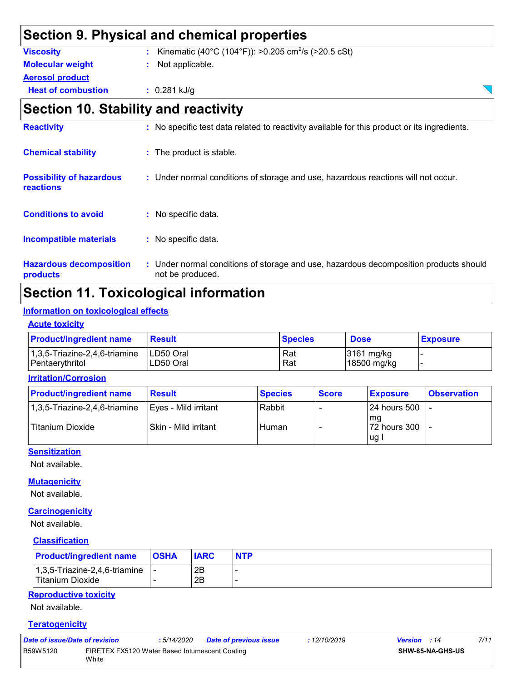|                                              | Section 9. Physical and chemical properties                                                  |  |
|----------------------------------------------|----------------------------------------------------------------------------------------------|--|
| <b>Viscosity</b>                             | Kinematic (40°C (104°F)): >0.205 cm <sup>2</sup> /s (>20.5 cSt)                              |  |
| <b>Molecular weight</b>                      | Not applicable.                                                                              |  |
| <b>Aerosol product</b>                       |                                                                                              |  |
| <b>Heat of combustion</b>                    | $: 0.281$ kJ/g                                                                               |  |
|                                              | <b>Section 10. Stability and reactivity</b>                                                  |  |
| <b>Reactivity</b>                            | : No specific test data related to reactivity available for this product or its ingredients. |  |
| <b>Chemical stability</b>                    | : The product is stable.                                                                     |  |
| <b>Possibility of hazardous</b><br>reactions | : Under normal conditions of storage and use, hazardous reactions will not occur.            |  |
| <b>Conditions to avoid</b>                   | : No specific data.                                                                          |  |
| <b>Incompatible materials</b>                | : No specific data.                                                                          |  |
|                                              |                                                                                              |  |

**Hazardous decomposition products** Under normal conditions of storage and use, hazardous decomposition products should **:** not be produced.

# **Section 11. Toxicological information**

### **Information on toxicological effects**

### **Acute toxicity**

| <b>Product/ingredient name</b>   | Result     | <b>Species</b> | <b>Dose</b> | <b>Exposure</b> |
|----------------------------------|------------|----------------|-------------|-----------------|
| $1,3,5$ -Triazine-2,4,6-triamine | ILD50 Oral | Rat            | 3161 mg/kg  |                 |
| Pentaerythritol                  | LD50 Oral  | Rat            | 18500 mg/kg |                 |

#### **Irritation/Corrosion**

| <b>Product/ingredient name</b> | <b>Result</b>        | <b>Species</b> | <b>Score</b> | <b>Exposure</b>               | <b>Observation</b> |
|--------------------------------|----------------------|----------------|--------------|-------------------------------|--------------------|
| 1,3,5-Triazine-2,4,6-triamine  | Eyes - Mild irritant | Rabbit         |              | 124 hours 500                 |                    |
| <b>Titanium Dioxide</b>        | Skin - Mild irritant | Human          |              | l mq<br>72 hours 300<br>lug l |                    |

### **Sensitization**

Not available.

### **Mutagenicity**

Not available.

### **Carcinogenicity**

Not available.

### **Classification**

| <b>Product/ingredient name</b>                                    | <b>OSHA</b> | <b>IARC</b> | <b>NTP</b> |
|-------------------------------------------------------------------|-------------|-------------|------------|
| $\vert$ 1,3,5-Triazine-2,4,6-triamine $\vert$<br>Titanium Dioxide |             | 2B<br>2B    |            |

### **Reproductive toxicity**

Not available.

#### **Teratogenicity**

| Date of issue/Date of revision                                      |  | : 5/14/2020 | <b>Date of previous issue</b> | : 12/10/2019     | <b>Version</b> : 14 | 7/11 |
|---------------------------------------------------------------------|--|-------------|-------------------------------|------------------|---------------------|------|
| B59W5120<br>FIRETEX FX5120 Water Based Intumescent Coating<br>White |  |             |                               | SHW-85-NA-GHS-US |                     |      |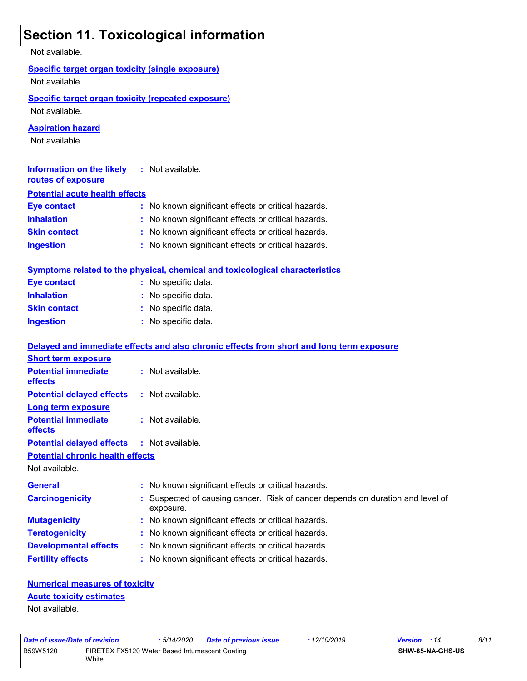# **Section 11. Toxicological information**

| Not available.                                            |                                                                                             |
|-----------------------------------------------------------|---------------------------------------------------------------------------------------------|
| <b>Specific target organ toxicity (single exposure)</b>   |                                                                                             |
| Not available.                                            |                                                                                             |
| <b>Specific target organ toxicity (repeated exposure)</b> |                                                                                             |
| Not available.                                            |                                                                                             |
|                                                           |                                                                                             |
| <b>Aspiration hazard</b><br>Not available.                |                                                                                             |
|                                                           |                                                                                             |
| <b>Information on the likely</b>                          | : Not available.                                                                            |
| routes of exposure                                        |                                                                                             |
| <b>Potential acute health effects</b>                     |                                                                                             |
| <b>Eye contact</b>                                        | : No known significant effects or critical hazards.                                         |
| <b>Inhalation</b>                                         | : No known significant effects or critical hazards.                                         |
| <b>Skin contact</b>                                       | : No known significant effects or critical hazards.                                         |
| <b>Ingestion</b>                                          | : No known significant effects or critical hazards.                                         |
|                                                           | <b>Symptoms related to the physical, chemical and toxicological characteristics</b>         |
| <b>Eye contact</b>                                        | : No specific data.                                                                         |
| <b>Inhalation</b>                                         | : No specific data.                                                                         |
| <b>Skin contact</b>                                       | : No specific data.                                                                         |
| <b>Ingestion</b>                                          | : No specific data.                                                                         |
|                                                           |                                                                                             |
|                                                           | Delayed and immediate effects and also chronic effects from short and long term exposure    |
| <b>Short term exposure</b>                                |                                                                                             |
| <b>Potential immediate</b><br>effects                     | : Not available.                                                                            |
| <b>Potential delayed effects</b>                          |                                                                                             |
|                                                           | : Not available.                                                                            |
| <b>Long term exposure</b>                                 |                                                                                             |
| <b>Potential immediate</b>                                | : Not available.                                                                            |
| effects                                                   |                                                                                             |
| <b>Potential delayed effects</b>                          | : Not available.                                                                            |
| <b>Potential chronic health effects</b>                   |                                                                                             |
| Not available.                                            |                                                                                             |
| <b>General</b>                                            | : No known significant effects or critical hazards.                                         |
| <b>Carcinogenicity</b>                                    | : Suspected of causing cancer. Risk of cancer depends on duration and level of<br>exposure. |
| <b>Mutagenicity</b>                                       | : No known significant effects or critical hazards.                                         |
| <b>Teratogenicity</b>                                     | : No known significant effects or critical hazards.                                         |
| <b>Developmental effects</b>                              | : No known significant effects or critical hazards.                                         |

### **Numerical measures of toxicity** Not available. **Acute toxicity estimates**

| Date of issue/Date of revision                             |  | : 5/14/2020 | <b>Date of previous issue</b> | : 12/10/2019 | <b>Version</b> : 14 | 8/11 |
|------------------------------------------------------------|--|-------------|-------------------------------|--------------|---------------------|------|
| B59W5120<br>FIRETEX FX5120 Water Based Intumescent Coating |  |             |                               |              | SHW-85-NA-GHS-US    |      |
| White                                                      |  |             |                               |              |                     |      |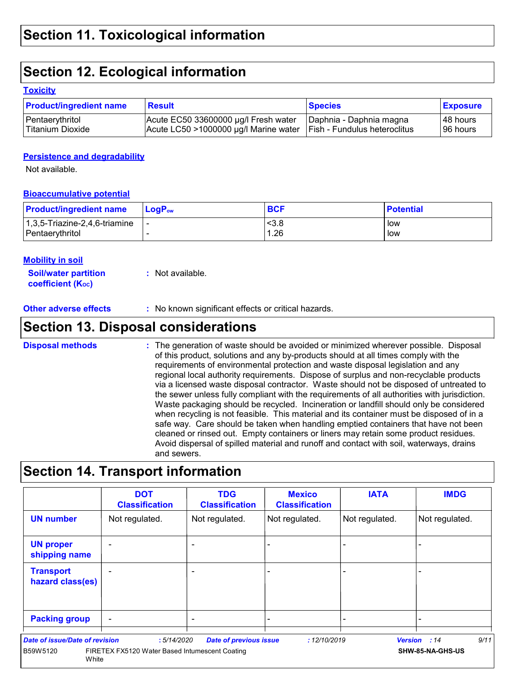# **Section 12. Ecological information**

### **Toxicity**

| <b>Product/ingredient name</b> | <b>Result</b>                         | <b>Species</b>               | <b>Exposure</b> |
|--------------------------------|---------------------------------------|------------------------------|-----------------|
| Pentaerythritol                | Acute EC50 33600000 µg/l Fresh water  | Daphnia - Daphnia magna      | 48 hours        |
| Titanium Dioxide               | Acute LC50 >1000000 µg/l Marine water | Fish - Fundulus heteroclitus | 196 hours       |

### **Persistence and degradability**

Not available.

### **Bioaccumulative potential**

| <b>Product/ingredient name</b>   | LogP <sub>ow</sub> | <b>BCF</b> | <b>Potential</b> |
|----------------------------------|--------------------|------------|------------------|
| $1,3,5$ -Triazine-2,4,6-triamine |                    | <3.8       | low              |
| Pentaerythritol                  |                    | 1.26       | low              |

### **Mobility in soil**

| <b>Soil/water partition</b> | : Not available. |
|-----------------------------|------------------|
| <b>coefficient (Koc)</b>    |                  |

**Other adverse effects** : No known significant effects or critical hazards.

# **Section 13. Disposal considerations**

The generation of waste should be avoided or minimized wherever possible. Disposal of this product, solutions and any by-products should at all times comply with the requirements of environmental protection and waste disposal legislation and any regional local authority requirements. Dispose of surplus and non-recyclable products via a licensed waste disposal contractor. Waste should not be disposed of untreated to the sewer unless fully compliant with the requirements of all authorities with jurisdiction. Waste packaging should be recycled. Incineration or landfill should only be considered when recycling is not feasible. This material and its container must be disposed of in a safe way. Care should be taken when handling emptied containers that have not been cleaned or rinsed out. Empty containers or liners may retain some product residues. Avoid dispersal of spilled material and runoff and contact with soil, waterways, drains and sewers. **Disposal methods :**

### **Section 14. Transport information**

|                                                     | <b>DOT</b><br><b>Classification</b>                          | <b>TDG</b><br><b>Classification</b> | <b>Mexico</b><br><b>Classification</b> | <b>IATA</b>    | <b>IMDG</b>                              |
|-----------------------------------------------------|--------------------------------------------------------------|-------------------------------------|----------------------------------------|----------------|------------------------------------------|
| <b>UN number</b>                                    | Not regulated.                                               | Not regulated.                      | Not regulated.                         | Not regulated. | Not regulated.                           |
| <b>UN proper</b><br>shipping name                   |                                                              | ٠                                   |                                        | -              |                                          |
| <b>Transport</b><br>hazard class(es)                |                                                              | $\overline{\phantom{0}}$            |                                        | -              |                                          |
| <b>Packing group</b>                                | $\overline{\phantom{0}}$                                     |                                     |                                        |                |                                          |
| Date of issue/Date of revision<br>B59W5120<br>White | :5/14/2020<br>FIRETEX FX5120 Water Based Intumescent Coating | <b>Date of previous issue</b>       | : 12/10/2019                           |                | 9/11<br>Version : 14<br>SHW-85-NA-GHS-US |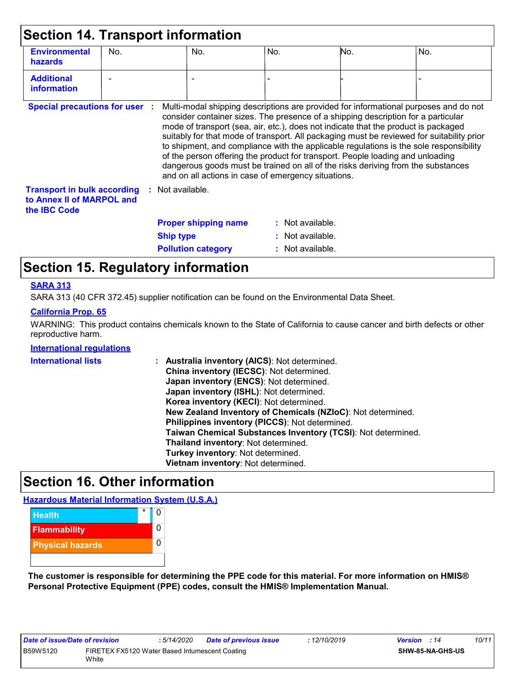|                                                                                        |     | <b>Section 14. Transport information</b>                                                                                                                                                                                                                                                                                                                                                             |                    |                |                                                                                                                                                                                                                                                                             |
|----------------------------------------------------------------------------------------|-----|------------------------------------------------------------------------------------------------------------------------------------------------------------------------------------------------------------------------------------------------------------------------------------------------------------------------------------------------------------------------------------------------------|--------------------|----------------|-----------------------------------------------------------------------------------------------------------------------------------------------------------------------------------------------------------------------------------------------------------------------------|
| <b>Environmental</b><br><b>hazards</b>                                                 | No. | No.                                                                                                                                                                                                                                                                                                                                                                                                  | No.                | No.            | No.                                                                                                                                                                                                                                                                         |
| <b>Additional</b><br><b>information</b>                                                |     |                                                                                                                                                                                                                                                                                                                                                                                                      |                    |                |                                                                                                                                                                                                                                                                             |
| <b>Special precautions for user :</b>                                                  |     | consider container sizes. The presence of a shipping description for a particular<br>mode of transport (sea, air, etc.), does not indicate that the product is packaged<br>of the person offering the product for transport. People loading and unloading<br>dangerous goods must be trained on all of the risks deriving from the substances<br>and on all actions in case of emergency situations. |                    |                | Multi-modal shipping descriptions are provided for informational purposes and do not<br>suitably for that mode of transport. All packaging must be reviewed for suitability prior<br>to shipment, and compliance with the applicable regulations is the sole responsibility |
| <b>Transport in bulk according</b><br>to Annex II of MARPOL and<br>the <b>IBC</b> Code |     | $:$ Not available.                                                                                                                                                                                                                                                                                                                                                                                   |                    |                |                                                                                                                                                                                                                                                                             |
|                                                                                        |     | <b>Proper shipping name</b>                                                                                                                                                                                                                                                                                                                                                                          | $:$ Not available. |                |                                                                                                                                                                                                                                                                             |
|                                                                                        |     | <b>Ship type</b>                                                                                                                                                                                                                                                                                                                                                                                     | ÷.                 | Not available. |                                                                                                                                                                                                                                                                             |
|                                                                                        |     |                                                                                                                                                                                                                                                                                                                                                                                                      |                    |                |                                                                                                                                                                                                                                                                             |

# **Section 15. Regulatory information**

### **SARA 313**

SARA 313 (40 CFR 372.45) supplier notification can be found on the Environmental Data Sheet.

### **California Prop. 65**

WARNING: This product contains chemicals known to the State of California to cause cancer and birth defects or other reproductive harm.

#### **International regulations**

| <b>International lists</b> | : Australia inventory (AICS): Not determined.                |
|----------------------------|--------------------------------------------------------------|
|                            | China inventory (IECSC): Not determined.                     |
|                            | Japan inventory (ENCS): Not determined.                      |
|                            | Japan inventory (ISHL): Not determined.                      |
|                            | Korea inventory (KECI): Not determined.                      |
|                            | New Zealand Inventory of Chemicals (NZIoC): Not determined.  |
|                            | Philippines inventory (PICCS): Not determined.               |
|                            | Taiwan Chemical Substances Inventory (TCSI): Not determined. |
|                            | Thailand inventory: Not determined.                          |
|                            | Turkey inventory: Not determined.                            |
|                            | Vietnam inventory: Not determined.                           |

### **Section 16. Other information**

**Hazardous Material Information System (U.S.A.)**



**The customer is responsible for determining the PPE code for this material. For more information on HMIS® Personal Protective Equipment (PPE) codes, consult the HMIS® Implementation Manual.**

| Date of issue/Date of revision |                                                | : 5/14/2020 | Date of previous issue | : 12/10/2019 | <b>Version</b> : 14 |                         | 10/11 |
|--------------------------------|------------------------------------------------|-------------|------------------------|--------------|---------------------|-------------------------|-------|
| B59W5120                       | FIRETEX FX5120 Water Based Intumescent Coating |             |                        |              |                     | <b>SHW-85-NA-GHS-US</b> |       |
|                                | White                                          |             |                        |              |                     |                         |       |